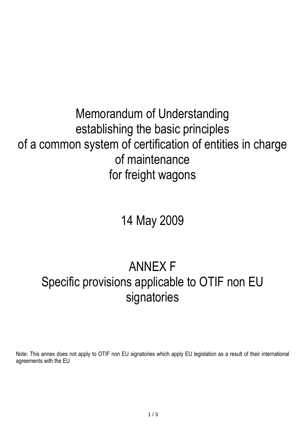## Memorandum of Understanding establishing the basic principles of a common system of certification of entities in charge of maintenance for freight wagons

# 14 May 2009

## ANNEX F Specific provisions applicable to OTIF non EU signatories

Note: This annex does not apply to OTIF non EU signatories which apply EU legislation as a result of their international agreements with the EU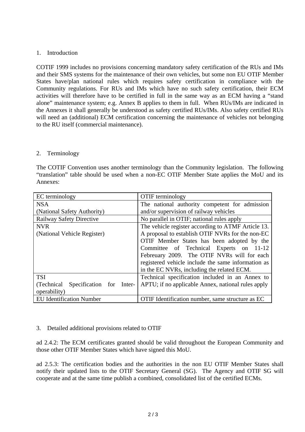#### 1. Introduction

COTIF 1999 includes no provisions concerning mandatory safety certification of the RUs and IMs and their SMS systems for the maintenance of their own vehicles, but some non EU OTIF Member States have/plan national rules which requires safety certification in compliance with the Community regulations. For RUs and IMs which have no such safety certification, their ECM activities will therefore have to be certified in full in the same way as an ECM having a "stand alone" maintenance system; e.g. Annex B applies to them in full. When RUs/IMs are indicated in the Annexes it shall generally be understood as safety certified RUs/IMs. Also safety certified RUs will need an (additional) ECM certification concerning the maintenance of vehicles not belonging to the RU itself (commercial maintenance).

#### 2. Terminology

The COTIF Convention uses another terminology than the Community legislation. The following "translation" table should be used when a non-EC OTIF Member State applies the MoU and its Annexes:

| EC terminology                             | <b>OTIF</b> terminology                            |
|--------------------------------------------|----------------------------------------------------|
| <b>NSA</b>                                 | The national authority competent for admission     |
| (National Safety Authority)                | and/or supervision of railway vehicles             |
| <b>Railway Safety Directive</b>            | No parallel in OTIF; national rules apply          |
| <b>NVR</b>                                 | The vehicle register according to ATMF Article 13. |
| (National Vehicle Register)                | A proposal to establish OTIF NVRs for the non-EC   |
|                                            | OTIF Member States has been adopted by the         |
|                                            | Committee of Technical Experts on 11-12            |
|                                            | Febreuary 2009. The OTIF NVRs will for each        |
|                                            | registered vehicle include the same information as |
|                                            | in the EC NVRs, including the related ECM.         |
| <b>TSI</b>                                 | Technical specification included in an Annex to    |
| Specification for<br>(Technical)<br>Inter- | APTU; if no applicable Annex, national rules apply |
| operability)                               |                                                    |
| <b>EU</b> Identification Number            | OTIF Identification number, same structure as EC   |

#### 3. Detailed additional provisions related to OTIF

ad 2.4.2: The ECM certificates granted should be valid throughout the European Community and those other OTIF Member States which have signed this MoU.

ad 2.5.3: The certification bodies and the authorities in the non EU OTIF Member States shall notify their updated lists to the OTIF Secretary General (SG). The Agency and OTIF SG will cooperate and at the same time publish a combined, consolidated list of the certified ECMs.